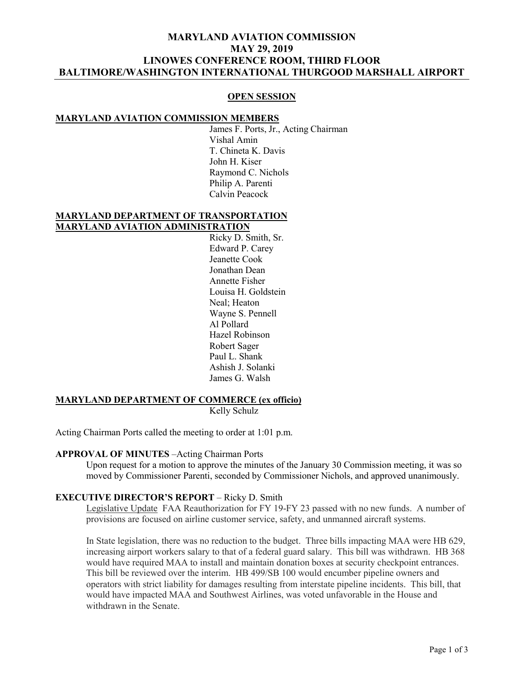## **MARYLAND AVIATION COMMISSION MAY 29, 2019 LINOWES CONFERENCE ROOM, THIRD FLOOR BALTIMORE/WASHINGTON INTERNATIONAL THURGOOD MARSHALL AIRPORT**

#### **OPEN SESSION**

#### **MARYLAND AVIATION COMMISSION MEMBERS**

James F. Ports, Jr., Acting Chairman Vishal Amin T. Chineta K. Davis John H. Kiser Raymond C. Nichols Philip A. Parenti Calvin Peacock

#### **MARYLAND DEPARTMENT OF TRANSPORTATION MARYLAND AVIATION ADMINISTRATION**

Ricky D. Smith, Sr. Edward P. Carey Jeanette Cook Jonathan Dean Annette Fisher Louisa H. Goldstein Neal; Heaton Wayne S. Pennell Al Pollard Hazel Robinson Robert Sager Paul L. Shank Ashish J. Solanki James G. Walsh

#### **MARYLAND DEPARTMENT OF COMMERCE (ex officio)** Kelly Schulz

Acting Chairman Ports called the meeting to order at 1:01 p.m.

### **APPROVAL OF MINUTES** –Acting Chairman Ports

Upon request for a motion to approve the minutes of the January 30 Commission meeting, it was so moved by Commissioner Parenti, seconded by Commissioner Nichols, and approved unanimously.

#### **EXECUTIVE DIRECTOR'S REPORT** – Ricky D. Smith

Legislative Update FAA Reauthorization for FY 19-FY 23 passed with no new funds. A number of provisions are focused on airline customer service, safety, and unmanned aircraft systems.

In State legislation, there was no reduction to the budget. Three bills impacting MAA were HB 629, increasing airport workers salary to that of a federal guard salary. This bill was withdrawn. HB 368 would have required MAA to install and maintain donation boxes at security checkpoint entrances. This bill be reviewed over the interim. HB 499/SB 100 would encumber pipeline owners and operators with strict liability for damages resulting from interstate pipeline incidents. This bill, that would have impacted MAA and Southwest Airlines, was voted unfavorable in the House and withdrawn in the Senate.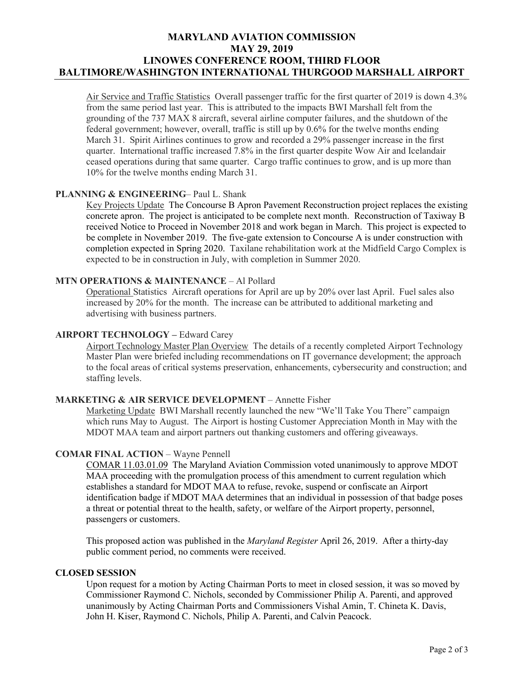# **MARYLAND AVIATION COMMISSION MAY 29, 2019 LINOWES CONFERENCE ROOM, THIRD FLOOR BALTIMORE/WASHINGTON INTERNATIONAL THURGOOD MARSHALL AIRPORT**

Air Service and Traffic Statistics Overall passenger traffic for the first quarter of 2019 is down 4.3% from the same period last year. This is attributed to the impacts BWI Marshall felt from the grounding of the 737 MAX 8 aircraft, several airline computer failures, and the shutdown of the federal government; however, overall, traffic is still up by 0.6% for the twelve months ending March 31. Spirit Airlines continues to grow and recorded a 29% passenger increase in the first quarter. International traffic increased 7.8% in the first quarter despite Wow Air and Icelandair ceased operations during that same quarter. Cargo traffic continues to grow, and is up more than 10% for the twelve months ending March 31.

### **PLANNING & ENGINEERING**– Paul L. Shank

Key Projects Update The Concourse B Apron Pavement Reconstruction project replaces the existing concrete apron. The project is anticipated to be complete next month. Reconstruction of Taxiway B received Notice to Proceed in November 2018 and work began in March. This project is expected to be complete in November 2019. The five-gate extension to Concourse A is under construction with completion expected in Spring 2020. Taxilane rehabilitation work at the Midfield Cargo Complex is expected to be in construction in July, with completion in Summer 2020.

### **MTN OPERATIONS & MAINTENANCE** – Al Pollard

Operational Statistics Aircraft operations for April are up by 20% over last April. Fuel sales also increased by 20% for the month. The increase can be attributed to additional marketing and advertising with business partners.

### **AIRPORT TECHNOLOGY –** Edward Carey

Airport Technology Master Plan Overview The details of a recently completed Airport Technology Master Plan were briefed including recommendations on IT governance development; the approach to the focal areas of critical systems preservation, enhancements, cybersecurity and construction; and staffing levels.

### **MARKETING & AIR SERVICE DEVELOPMENT** – Annette Fisher

Marketing Update BWI Marshall recently launched the new "We'll Take You There" campaign which runs May to August. The Airport is hosting Customer Appreciation Month in May with the MDOT MAA team and airport partners out thanking customers and offering giveaways.

## **COMAR FINAL ACTION** – Wayne Pennell

COMAR 11.03.01.09 The Maryland Aviation Commission voted unanimously to approve MDOT MAA proceeding with the promulgation process of this amendment to current regulation which establishes a standard for MDOT MAA to refuse, revoke, suspend or confiscate an Airport identification badge if MDOT MAA determines that an individual in possession of that badge poses a threat or potential threat to the health, safety, or welfare of the Airport property, personnel, passengers or customers.

This proposed action was published in the *Maryland Register* April 26, 2019. After a thirty-day public comment period, no comments were received.

### **CLOSED SESSION**

Upon request for a motion by Acting Chairman Ports to meet in closed session, it was so moved by Commissioner Raymond C. Nichols, seconded by Commissioner Philip A. Parenti, and approved unanimously by Acting Chairman Ports and Commissioners Vishal Amin, T. Chineta K. Davis, John H. Kiser, Raymond C. Nichols, Philip A. Parenti, and Calvin Peacock.